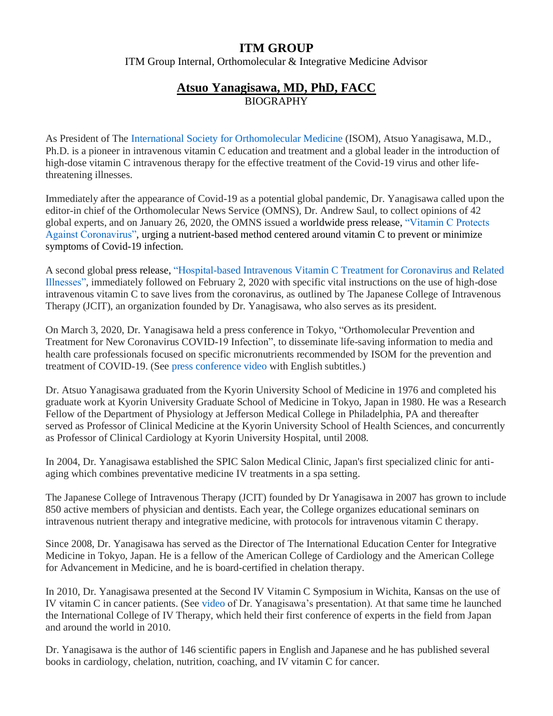## **ITM GROUP**

ITM Group Internal, Orthomolecular & Integrative Medicine Advisor

## **Atsuo Yanagisawa, MD, PhD, FACC** BIOGRAPHY

As President of The [International Society for Orthomolecular Medicine](https://isom.ca/) (ISOM), Atsuo Yanagisawa, M.D., Ph.D. is a pioneer in intravenous vitamin C education and treatment and a global leader in the introduction of high-dose vitamin C intravenous therapy for the effective treatment of the Covid-19 virus and other lifethreatening illnesses.

Immediately after the appearance of Covid-19 as a potential global pandemic, Dr. Yanagisawa called upon the editor-in chief of the Orthomolecular News Service (OMNS), Dr. Andrew Saul, to collect opinions of 42 global experts, and on January 26, 2020, the OMNS issued a worldwide press release, ["Vitamin C Protects](http://orthomolecular.activehosted.com/index.php?action=social&chash=9b8619251a19057cff70779273e95aa6.134&s=efe4e8b1de5f3f0d8327eb8366977127)  [Against Coronavirus",](http://orthomolecular.activehosted.com/index.php?action=social&chash=9b8619251a19057cff70779273e95aa6.134&s=efe4e8b1de5f3f0d8327eb8366977127) urging a nutrient-based method centered around vitamin C to prevent or minimize symptoms of Covid-19 infection.

A second global press release, ["Hospital-based Intravenous Vitamin C Treatment for Coronavirus and Related](http://orthomolecular.org/resources/omns/v16n07.shtml)  [Illnesses",](http://orthomolecular.org/resources/omns/v16n07.shtml) immediately followed on February 2, 2020 with specific vital instructions on the use of high-dose intravenous vitamin C to save lives from the coronavirus, as outlined by The Japanese College of Intravenous Therapy (JCIT), an organization founded by Dr. Yanagisawa, who also serves as its president.

On March 3, 2020, Dr. Yanagisawa held a press conference in Tokyo, "Orthomolecular Prevention and Treatment for New Coronavirus COVID-19 Infection", to disseminate life-saving information to media and health care professionals focused on specific micronutrients recommended by ISOM for the prevention and treatment of COVID-19. (See [press conference video](https://www.youtube.com/watch?v=yzJiKQ8O3IE&feature=youtu.be) with English subtitles.)

Dr. Atsuo Yanagisawa graduated from the Kyorin University School of Medicine in 1976 and completed his graduate work at Kyorin University Graduate School of Medicine in Tokyo, Japan in 1980. He was a Research Fellow of the Department of Physiology at Jefferson Medical College in Philadelphia, PA and thereafter served as Professor of Clinical Medicine at the Kyorin University School of Health Sciences, and concurrently as Professor of Clinical Cardiology at Kyorin University Hospital, until 2008.

In 2004, Dr. Yanagisawa established the SPIC Salon Medical Clinic, Japan's first specialized clinic for antiaging which combines preventative medicine IV treatments in a spa setting.

The Japanese College of Intravenous Therapy (JCIT) founded by Dr Yanagisawa in 2007 has grown to include 850 active members of physician and dentists. Each year, the College organizes educational seminars on intravenous nutrient therapy and integrative medicine, with protocols for intravenous vitamin C therapy.

Since 2008, Dr. Yanagisawa has served as the Director of The International Education Center for Integrative Medicine in Tokyo, Japan. He is a fellow of the American College of Cardiology and the American College for Advancement in Medicine, and he is board-certified in chelation therapy.

In 2010, Dr. Yanagisawa presented at the Second IV Vitamin C Symposium in Wichita, Kansas on the use of IV vitamin C in cancer patients. (See [video](https://www.youtube.com/embed/PVRQzFw6uPE?autoplay=1) of Dr. Yanagisawa's presentation). At that same time he launched the International College of IV Therapy, which held their first conference of experts in the field from Japan and around the world in 2010.

Dr. Yanagisawa is the author of 146 scientific papers in English and Japanese and he has published several books in cardiology, chelation, nutrition, coaching, and IV vitamin C for cancer.